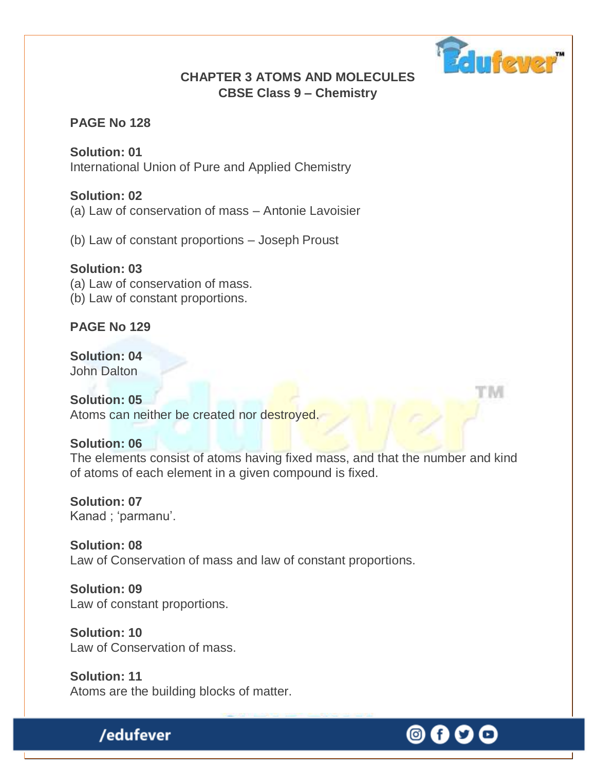

#### **CHAPTER 3 ATOMS AND MOLECULES CBSE Class 9 – Chemistry**

#### **PAGE No 128**

**Solution: 01** International Union of Pure and Applied Chemistry

#### **Solution: 02**

(a) Law of conservation of mass – Antonie Lavoisier

(b) Law of constant proportions – Joseph Proust

#### **Solution: 03**

(a) Law of conservation of mass.

(b) Law of constant proportions.

**PAGE No 129**

**Solution: 04** John Dalton

#### **Solution: 05** Atoms can neither be created nor destroyed.

#### **Solution: 06**

The elements consist of atoms having fixed mass, and that the number and kind of atoms of each element in a given compound is fixed.

#### **Solution: 07** Kanad ; 'parmanu'.

**Solution: 08** Law of Conservation of mass and law of constant proportions.

**Solution: 09** Law of constant proportions.

**Solution: 10** Law of Conservation of mass.

**Solution: 11** Atoms are the building blocks of matter.

# /edufever

# © G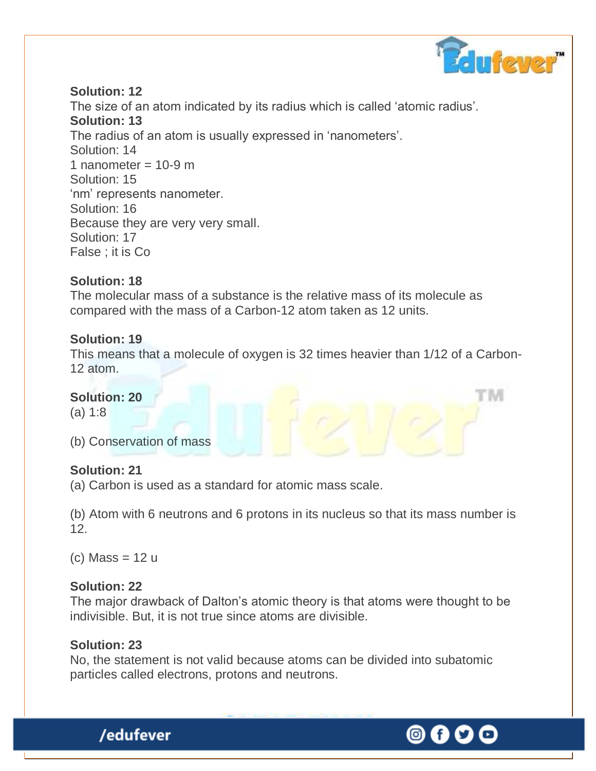

#### **Solution: 12**

The size of an atom indicated by its radius which is called "atomic radius". **Solution: 13** The radius of an atom is usually expressed in 'nanometers'. Solution: 14 1 nanometer =  $10-9$  m Solution: 15 'nm' represents nanometer. Solution: 16 Because they are very very small. Solution: 17 False ; it is Co

#### **Solution: 18**

The molecular mass of a substance is the relative mass of its molecule as compared with the mass of a Carbon-12 atom taken as 12 units.

#### **Solution: 19**

This means that a molecule of oxygen is 32 times heavier than 1/12 of a Carbon-12 atom.

#### **Solution: 20**

(a) 1:8

(b) Conservation of mass

#### **Solution: 21**

(a) Carbon is used as a standard for atomic mass scale.

(b) Atom with 6 neutrons and 6 protons in its nucleus so that its mass number is 12.

 $(c)$  Mass = 12 u

#### **Solution: 22**

The major drawback of Dalton's atomic theory is that atoms were thought to be indivisible. But, it is not true since atoms are divisible.

#### **Solution: 23**

/edufever

No, the statement is not valid because atoms can be divided into subatomic particles called electrons, protons and neutrons.

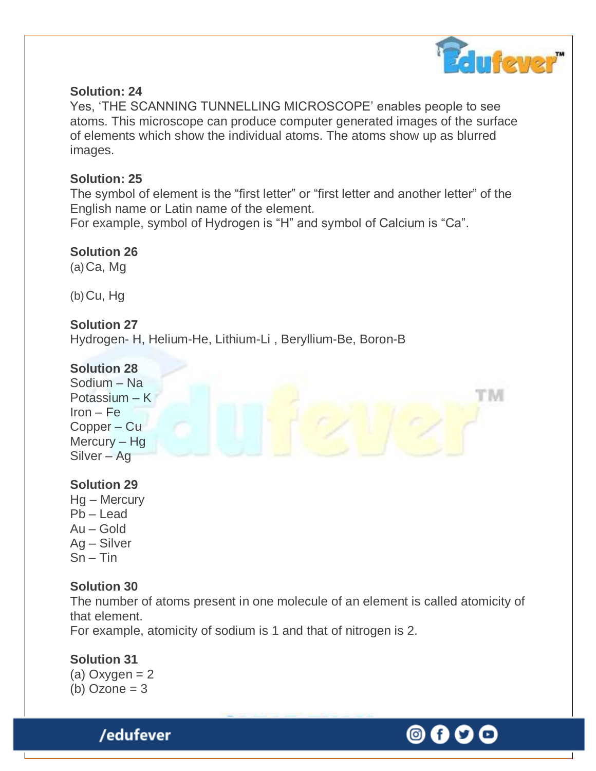

#### **Solution: 24**

Yes, "THE SCANNING TUNNELLING MICROSCOPE" enables people to see atoms. This microscope can produce computer generated images of the surface of elements which show the individual atoms. The atoms show up as blurred images.

#### **Solution: 25**

The symbol of element is the "first letter" or "first letter and another letter" of the English name or Latin name of the element.

For example, symbol of Hydrogen is "H" and symbol of Calcium is "Ca".

**Solution 26**  $(a)$ Ca, Mg

 $(b)$ Cu, Hg

#### **Solution 27**

Hydrogen- H, Helium-He, Lithium-Li , Beryllium-Be, Boron-B

#### **Solution 28**



#### **Solution 29**

Hg – Mercury  $Pb -$ Lead Au – Gold Ag – Silver  $Sn - Tin$ 

#### **Solution 30**

The number of atoms present in one molecule of an element is called atomicity of that element.

For example, atomicity of sodium is 1 and that of nitrogen is 2.

#### **Solution 31**

(a) Oxygen  $= 2$ (b) Ozone  $= 3$ 

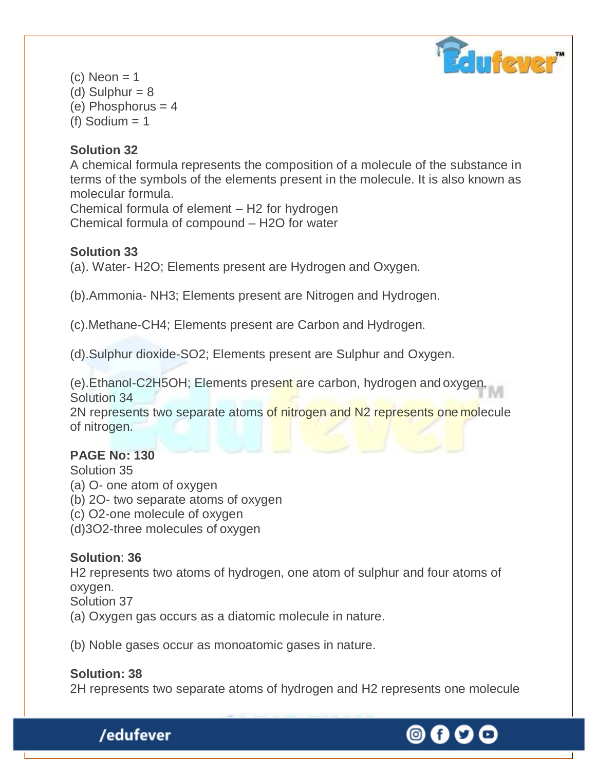

 $(c)$  Neon = 1 (d) Sulphur  $= 8$ (e) Phosphorus  $= 4$ (f) Sodium  $= 1$ 

#### **Solution 32**

A chemical formula represents the composition of a molecule of the substance in terms of the symbols of the elements present in the molecule. It is also known as molecular formula.

Chemical formula of element – H2 for hydrogen Chemical formula of compound – H2O for water

#### **Solution 33**

(a). Water- H2O; Elements present are Hydrogen and Oxygen.

(b).Ammonia- NH3; Elements present are Nitrogen and Hydrogen.

(c).Methane-CH4; Elements present are Carbon and Hydrogen.

(d).Sulphur dioxide-SO2; Elements present are Sulphur and Oxygen.

(e).Ethanol-C2H5OH; Elements present are carbon, hydrogen and oxygen. Solution 34

2N represents two separate atoms of nitrogen and N2 represents one molecule of nitrogen.

#### **PAGE No: 130**

Solution 35

- (a) O- one atom of oxygen
- (b) 2O- two separate atoms of oxygen
- (c) O2-one molecule of oxygen
- (d)3O2-three molecules of oxygen

#### **Solution**: **36**

H2 represents two atoms of hydrogen, one atom of sulphur and four atoms of oxygen.

Solution 37

(a) Oxygen gas occurs as a diatomic molecule in nature.

(b) Noble gases occur as monoatomic gases in nature.

#### **Solution: 38**

/edufever

2H represents two separate atoms of hydrogen and H2 represents one molecule

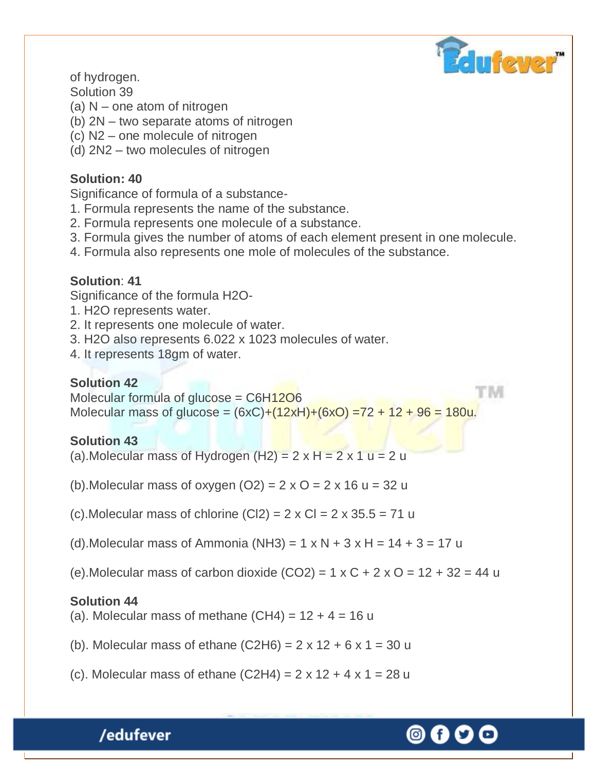

of hydrogen.

Solution 39

- (a) N one atom of nitrogen
- (b) 2N two separate atoms of nitrogen
- (c) N2 one molecule of nitrogen
- (d) 2N2 two molecules of nitrogen

### **Solution: 40**

Significance of formula of a substance-

- 1. Formula represents the name of the substance.
- 2. Formula represents one molecule of a substance.
- 3. Formula gives the number of atoms of each element present in one molecule.
- 4. Formula also represents one mole of molecules of the substance.

### **Solution**: **41**

Significance of the formula H2O-

- 1. H2O represents water.
- 2. It represents one molecule of water.
- 3. H2O also represents 6.022 x 1023 molecules of water.
- 4. It represents 18gm of water.

# **Solution 42**

rim Molecular formula of glucose =  $C6H12O6$ Molecular mass of glucose =  $(6xC)+(12xH)+(6xO)$  =72 + 12 + 96 = 180u.

# **Solution 43**

- (a). Molecular mass of Hydrogen  $(H2) = 2 \times H = 2 \times 1$  u = 2 u
- (b). Molecular mass of oxygen  $(O2) = 2 \times O = 2 \times 16$  u = 32 u
- (c). Molecular mass of chlorine  $(C|2) = 2 \times C = 2 \times 35.5 = 71$  u
- (d). Molecular mass of Ammonia (NH3) =  $1 \times N + 3 \times H = 14 + 3 = 17$  u
- (e). Molecular mass of carbon dioxide  $(CO2) = 1 \times C + 2 \times O = 12 + 32 = 44$  u

# **Solution 44**

(a). Molecular mass of methane  $(CH4) = 12 + 4 = 16$  u

- (b). Molecular mass of ethane  $(C2H6) = 2 \times 12 + 6 \times 1 = 30$  u
- (c). Molecular mass of ethane  $(C2H4) = 2 \times 12 + 4 \times 1 = 28$  u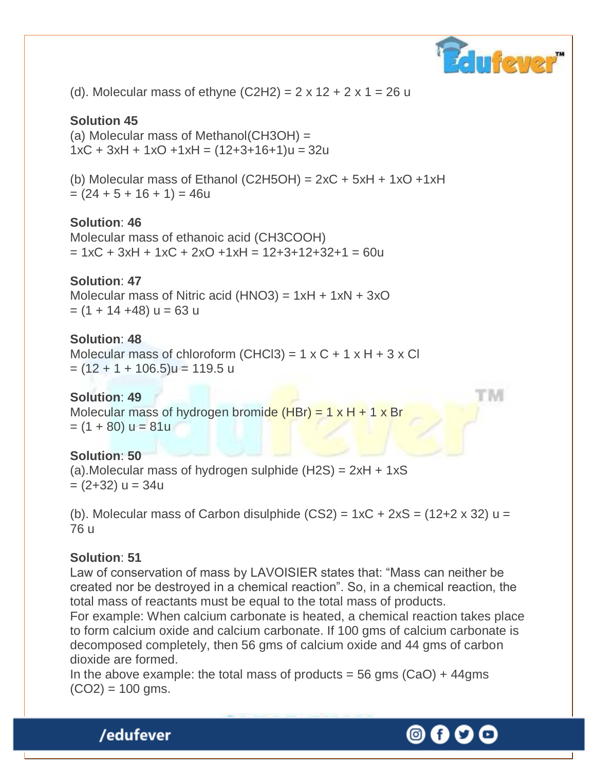

(d). Molecular mass of ethyne  $(C2H2) = 2 \times 12 + 2 \times 1 = 26$  u

#### **Solution 45**

(a) Molecular mass of Methanol(CH3OH) =  $1xC + 3xH + 1xO + 1xH = (12+3+16+1)u = 32u$ 

(b) Molecular mass of Ethanol (C2H5OH) =  $2xC + 5xH + 1xO + 1xH$  $= (24 + 5 + 16 + 1) = 46u$ 

#### **Solution**: **46**

Molecular mass of ethanoic acid (CH3COOH)  $= 1xC + 3xH + 1xC + 2xO + 1xH = 12+3+12+32+1 = 60u$ 

# **Solution**: **47**

Molecular mass of Nitric acid (HNO3) =  $1xH + 1xN + 3xO$  $=$  (1 + 14 +48)  $u = 63$  u

#### **Solution**: **48**

Molecular mass of chloroform  $(CHCl3) = 1 \times C + 1 \times H + 3 \times Cl$  $= (12 + 1 + 106.5)u = 119.5 u$ 

#### **Solution**: **49**

Molecular mass of hydrogen bromide (HBr) =  $1 \times H + 1 \times Br$  $= (1 + 80)$  u = 81u

#### **Solution**: **50**

(a). Molecular mass of hydrogen sulphide  $(H2S) = 2xH + 1xS$  $= (2+32)$  u = 34u

(b). Molecular mass of Carbon disulphide  $(CS2) = 1xC + 2xS = (12+2 \times 32) u =$ 76 u

#### **Solution**: **51**

Law of conservation of mass by LAVOISIER states that: "Mass can neither be created nor be destroyed in a chemical reaction". So, in a chemical reaction, the total mass of reactants must be equal to the total mass of products.

For example: When calcium carbonate is heated, a chemical reaction takes place to form calcium oxide and calcium carbonate. If 100 gms of calcium carbonate is decomposed completely, then 56 gms of calcium oxide and 44 gms of carbon dioxide are formed.

In the above example: the total mass of products = 56 gms  $(CaO) + 44gms$  $(CO2) = 100$  gms.

M

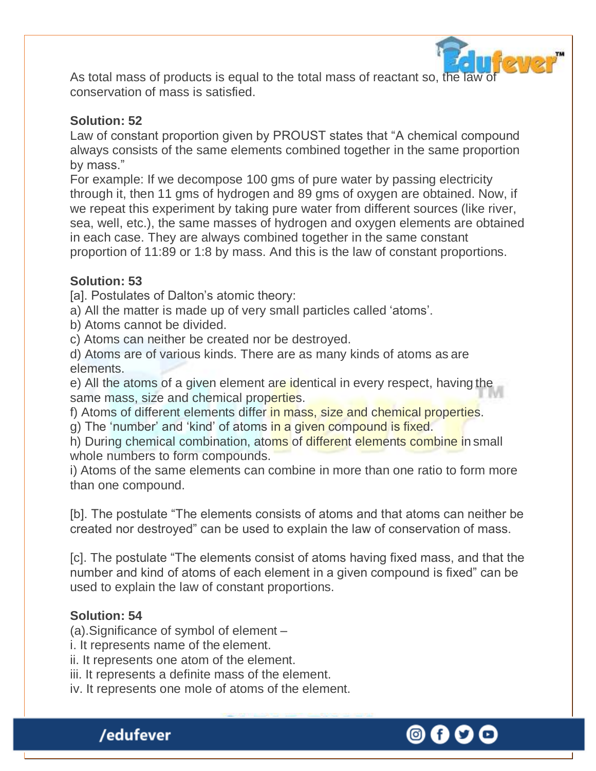

As total mass of products is equal to the total mass of reactant so, the law of conservation of mass is satisfied.

#### **Solution: 52**

Law of constant proportion given by PROUST states that "A chemical compound always consists of the same elements combined together in the same proportion by mass."

For example: If we decompose 100 gms of pure water by passing electricity through it, then 11 gms of hydrogen and 89 gms of oxygen are obtained. Now, if we repeat this experiment by taking pure water from different sources (like river, sea, well, etc.), the same masses of hydrogen and oxygen elements are obtained in each case. They are always combined together in the same constant proportion of 11:89 or 1:8 by mass. And this is the law of constant proportions.

#### **Solution: 53**

[a]. Postulates of Dalton's atomic theory:

a) All the matter is made up of very small particles called "atoms".

b) Atoms cannot be divided.

c) Atoms can neither be created nor be destroyed.

d) Atoms are of various kinds. There are as many kinds of atoms as are elements.

e) All the atoms of a given element are identical in every respect, having the same mass, size and chemical properties.

f) Atoms of different elements differ in mass, size and chemical properties.

g) The 'number' and 'kind' of atoms in a given compound is fixed.

h) During chemical combination, atoms of different elements combine in small whole numbers to form compounds.

i) Atoms of the same elements can combine in more than one ratio to form more than one compound.

[b]. The postulate "The elements consists of atoms and that atoms can neither be created nor destroyed" can be used to explain the law of conservation of mass.

[c]. The postulate "The elements consist of atoms having fixed mass, and that the number and kind of atoms of each element in a given compound is fixed" can be used to explain the law of constant proportions.

#### **Solution: 54**

/edufever

(a).Significance of symbol of element –

i. It represents name of the element.

ii. It represents one atom of the element.

iii. It represents a definite mass of the element.

iv. It represents one mole of atoms of the element.

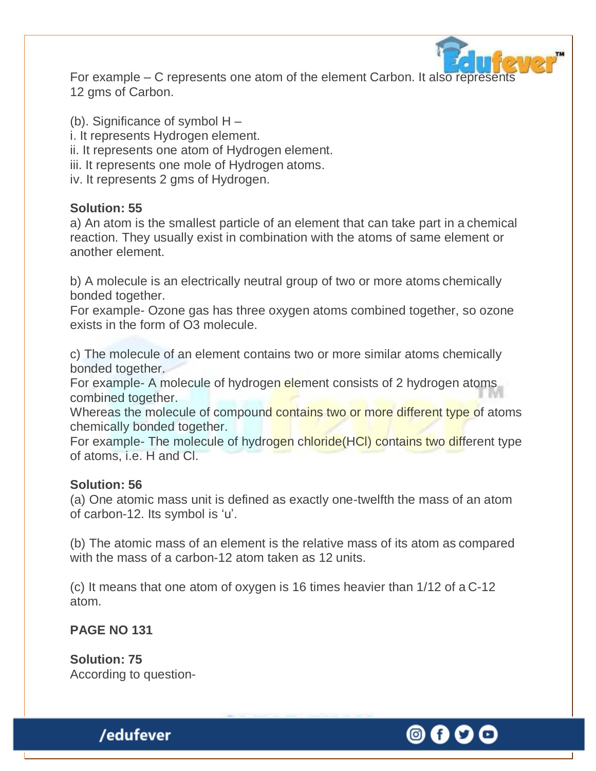

For example – C represents one atom of the element Carbon. It also represents 12 gms of Carbon.

(b). Significance of symbol H –

- i. It represents Hydrogen element.
- ii. It represents one atom of Hydrogen element.
- iii. It represents one mole of Hydrogen atoms.
- iv. It represents 2 gms of Hydrogen.

#### **Solution: 55**

a) An atom is the smallest particle of an element that can take part in a chemical reaction. They usually exist in combination with the atoms of same element or another element.

b) A molecule is an electrically neutral group of two or more atoms chemically bonded together.

For example- Ozone gas has three oxygen atoms combined together, so ozone exists in the form of O3 molecule.

c) The molecule of an element contains two or more similar atoms chemically bonded together.

For example- A molecule of hydrogen element consists of 2 hydrogen atoms combined together.

Whereas the molecule of compound contains two or more different type of atoms chemically bonded together.

For example- The molecule of hydrogen chloride(HCl) contains two different type of atoms, i.e. H and Cl.

#### **Solution: 56**

(a) One atomic mass unit is defined as exactly one-twelfth the mass of an atom of carbon-12. Its symbol is 'u'.

(b) The atomic mass of an element is the relative mass of its atom as compared with the mass of a carbon-12 atom taken as 12 units.

(c) It means that one atom of oxygen is 16 times heavier than 1/12 of a C-12 atom.

#### **PAGE NO 131**

**Solution: 75** According to question-

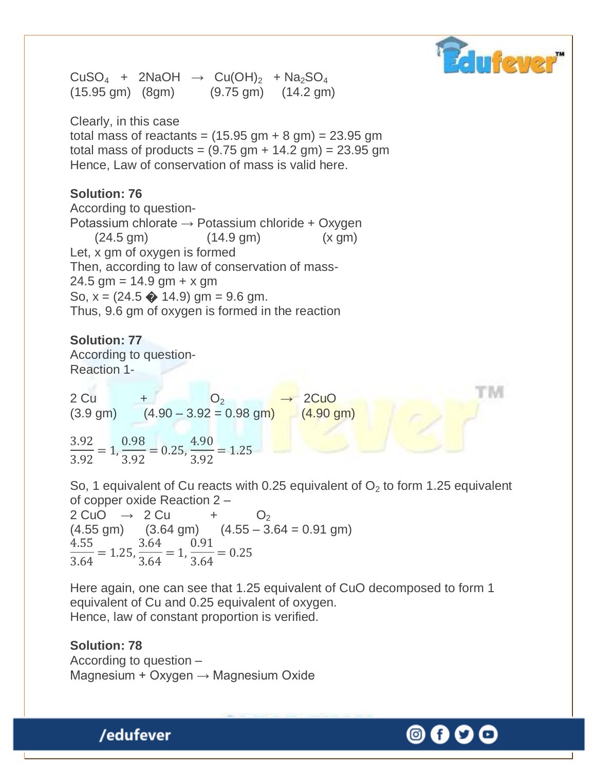

ГM

 $CuSO<sub>4</sub> + 2NaOH \rightarrow Cu(OH)<sub>2</sub> + Na<sub>2</sub>SO<sub>4</sub>$ (15.95 gm) (8gm) (9.75 gm) (14.2 gm)

Clearly, in this case total mass of reactants =  $(15.95 \text{ gm} + 8 \text{ gm}) = 23.95 \text{ gm}$ total mass of products = (9.75 gm + 14.2 gm) = 23.95 gm Hence, Law of conservation of mass is valid here.

#### **Solution: 76**

According to question-Potassium chlorate  $\rightarrow$  Potassium chloride + Oxygen (24.5 gm) (14.9 gm) (x gm) Let, x gm of oxygen is formed Then, according to law of conservation of mass- $24.5$  gm = 14.9 gm + x gm So,  $x = (24.5 \cdot 14.9)$  gm = 9.6 gm. Thus, 9.6 gm of oxygen is formed in the reaction

**Solution: 77**  According to question-Reaction 1-

 $2 Cu + O_2 \rightarrow 2 Cu O$  $(3.9 \text{ gm})$   $(4.90 - 3.92 = 0.98 \text{ gm})$   $(4.90 \text{ gm})$ 

3.92 3.92  $= 1,$ 0.98 3.92  $= 0.25,$ 4.90 3.92  $= 1.25$ 

So, 1 equivalent of Cu reacts with 0.25 equivalent of  $O<sub>2</sub>$  to form 1.25 equivalent of copper oxide Reaction 2 –

 $2 \text{ CuO} \rightarrow 2 \text{ Cu} \rightarrow 0_2$  $(4.55 \text{ gm})$   $(3.64 \text{ gm})$   $(4.55 - 3.64 = 0.91 \text{ gm})$ 4.55 3.64  $= 1.25,$ 3.64 3.64  $= 1,$ 0.91 3.64  $= 0.25$ 

Here again, one can see that 1.25 equivalent of CuO decomposed to form 1 equivalent of Cu and 0.25 equivalent of oxygen. Hence, law of constant proportion is verified.

#### **Solution: 78** According to question – Magnesium + Oxygen  $\rightarrow$  Magnesium Oxide

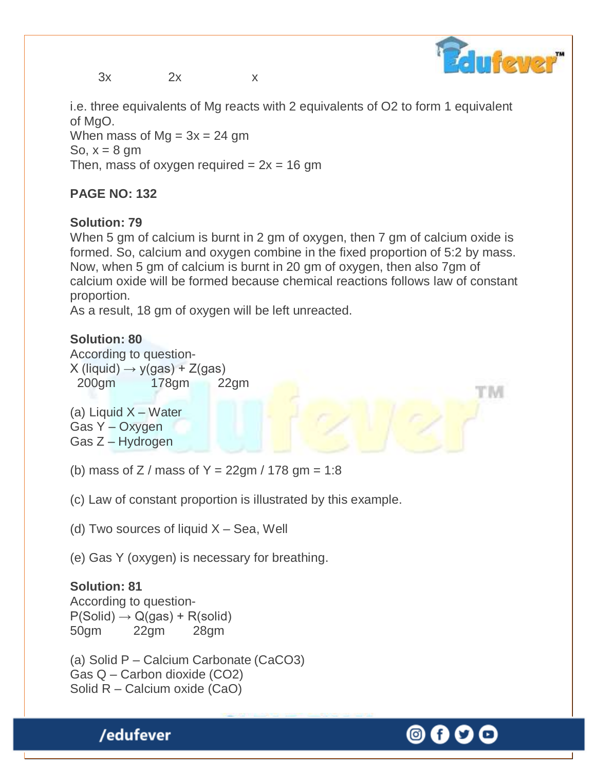$3x$  2x  $x$ 

**Triever** 

ГM

i.e. three equivalents of Mg reacts with 2 equivalents of O2 to form 1 equivalent of MgO.

When mass of  $Mg = 3x = 24$  gm So,  $x = 8$  gm Then, mass of oxygen required  $= 2x = 16$  gm

### **PAGE NO: 132**

### **Solution: 79**

When 5 gm of calcium is burnt in 2 gm of oxygen, then 7 gm of calcium oxide is formed. So, calcium and oxygen combine in the fixed proportion of 5:2 by mass. Now, when 5 gm of calcium is burnt in 20 gm of oxygen, then also 7gm of calcium oxide will be formed because chemical reactions follows law of constant proportion.

As a result, 18 gm of oxygen will be left unreacted.

#### **Solution: 80**

According to question- $X$  (liquid)  $\rightarrow$  y(gas) + Z(gas) 200gm 178gm 22gm

(a) Liquid X – Water Gas Y – Oxygen Gas Z – Hydrogen

(b) mass of Z / mass of Y =  $22gm / 178 gm = 1:8$ 

(c) Law of constant proportion is illustrated by this example.

(d) Two sources of liquid  $X - Sea$ , Well

(e) Gas Y (oxygen) is necessary for breathing.

# **Solution: 81**

According to question- $P(Solid) \rightarrow Q(gas) + R(solid)$ 50gm 22gm 28gm

/edufever

(a) Solid P – Calcium Carbonate (CaCO3) Gas Q – Carbon dioxide (CO2) Solid R – Calcium oxide (CaO)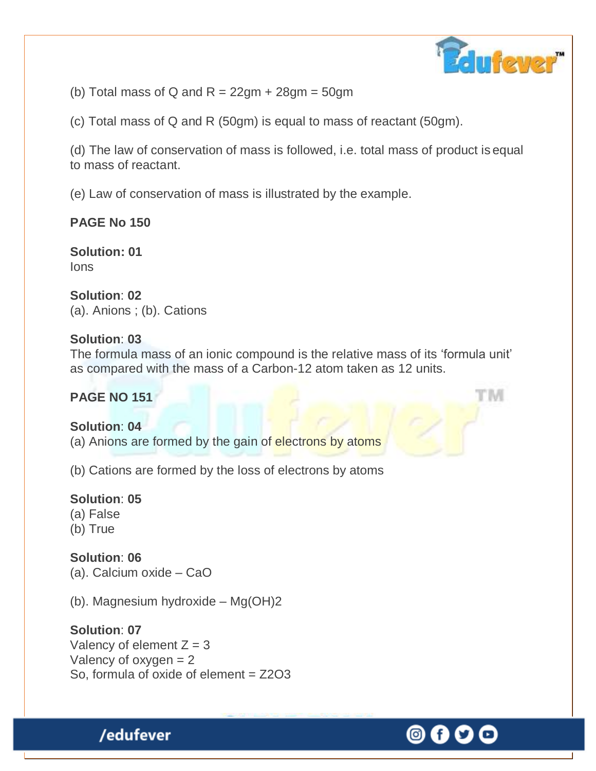

(b) Total mass of Q and  $R = 22gm + 28gm = 50gm$ 

(c) Total mass of Q and R (50gm) is equal to mass of reactant (50gm).

(d) The law of conservation of mass is followed, i.e. total mass of product is equal to mass of reactant.

(e) Law of conservation of mass is illustrated by the example.

# **PAGE No 150**

**Solution: 01** Ions

**Solution**: **02** (a). Anions ; (b). Cations

#### **Solution**: **03**

The formula mass of an ionic compound is the relative mass of its "formula unit" as compared with the mass of a Carbon-12 atom taken as 12 units.

#### **PAGE NO 151**

**Solution**: **04** (a) Anions are formed by the gain of electrons by atoms

(b) Cations are formed by the loss of electrons by atoms

**Solution**: **05** (a) False (b) True

**Solution**: **06** (a). Calcium oxide – CaO

/edufever

(b). Magnesium hydroxide – Mg(OH)2

#### **Solution**: **07**

Valency of element  $Z = 3$ Valency of oxygen = 2 So, formula of oxide of element = Z2O3

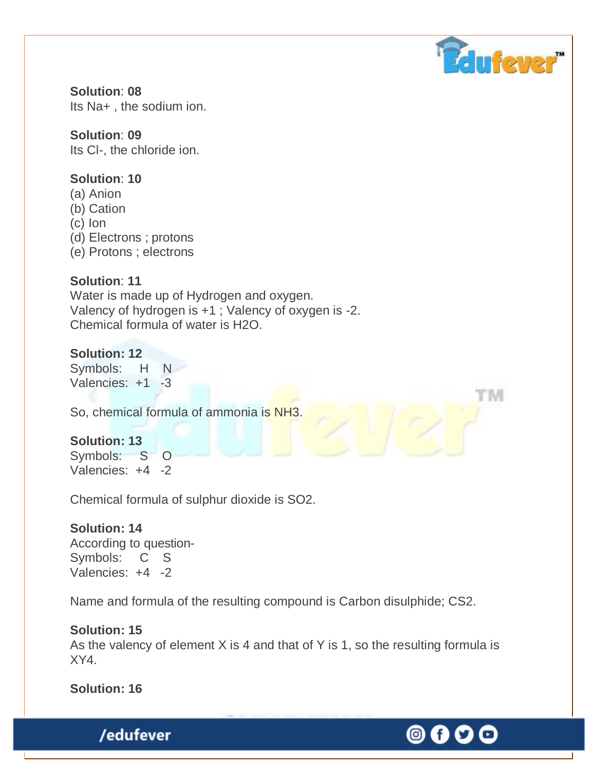

© f

**Solution**: **08** Its Na+ , the sodium ion.

#### **Solution**: **09**

Its Cl-, the chloride ion.

#### **Solution**: **10**

- (a) Anion
- (b) Cation
- (c) Ion
- (d) Electrons ; protons
- (e) Protons ; electrons

#### **Solution**: **11**

Water is made up of Hydrogen and oxygen. Valency of hydrogen is +1 ; Valency of oxygen is -2. Chemical formula of water is H2O.

#### **Solution: 12**

Symbols: H N Valencies: +1 -3

So, chemical formula of ammonia is NH3.

#### **Solution: 13**

Symbols: S O Valencies: +4 -2

Chemical formula of sulphur dioxide is SO2.

#### **Solution: 14**

According to question-Symbols: C S Valencies: +4 -2

Name and formula of the resulting compound is Carbon disulphide; CS2.

#### **Solution: 15**

As the valency of element  $X$  is 4 and that of Y is 1, so the resulting formula is XY4.

**Solution: 16**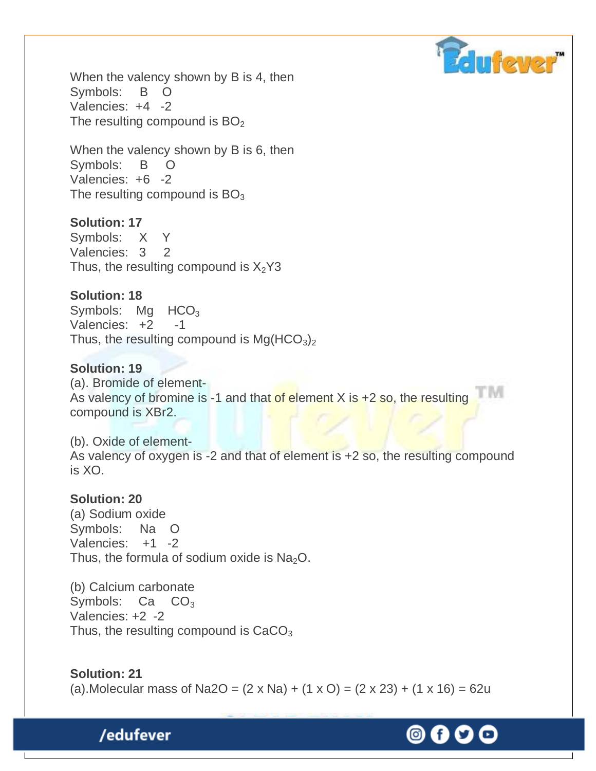

When the valency shown by B is 4, then Symbols: B O Valencies: +4 -2 The resulting compound is  $BO<sub>2</sub>$ 

When the valency shown by B is 6, then Symbols: B O Valencies: +6 -2 The resulting compound is  $BO<sub>3</sub>$ 

#### **Solution: 17**

Symbols: X Y Valencies: 3 2 Thus, the resulting compound is  $X_2$ Y3

#### **Solution: 18**

Symbols:  $Mq$  HCO<sub>3</sub> Valencies:  $+2$  -1 Thus, the resulting compound is  $Mg(HCO<sub>3</sub>)<sub>2</sub>$ 

#### **Solution: 19**

(a). Bromide of element-As valency of bromine is -1 and that of element  $X$  is  $+2$  so, the resulting compound is XBr2.

(b). Oxide of element-As valency of oxygen is -2 and that of element is +2 so, the resulting compound is XO.

#### **Solution: 20**

(a) Sodium oxide Symbols: Na O Valencies: +1 -2 Thus, the formula of sodium oxide is  $Na<sub>2</sub>O$ .

(b) Calcium carbonate Symbols:  $Ca$   $CO<sub>3</sub>$ Valencies: +2 -2 Thus, the resulting compound is  $CaCO<sub>3</sub>$ 

#### **Solution: 21**

(a). Molecular mass of Na2O =  $(2 \times$  Na $) + (1 \times$ O $) = (2 \times 23) + (1 \times 16) = 62u$ 

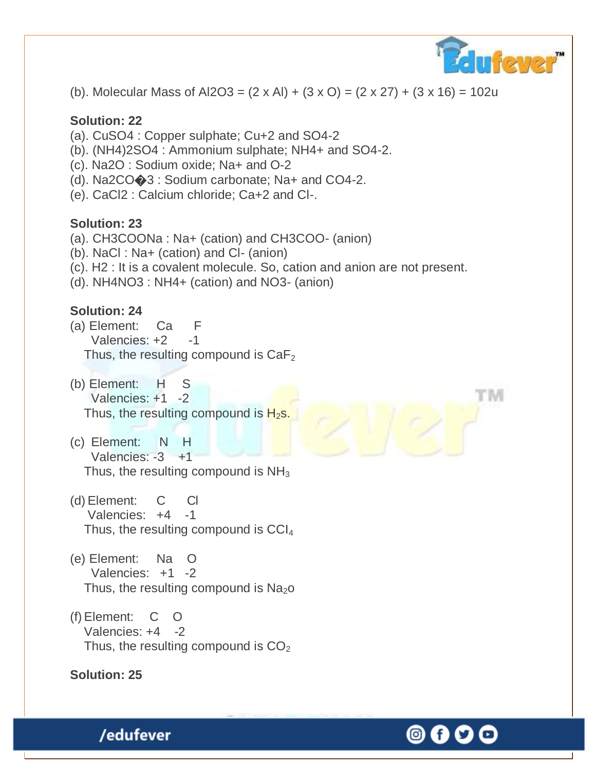

(b). Molecular Mass of Al2O3 =  $(2 \times Al) + (3 \times O) = (2 \times 27) + (3 \times 16) = 102u$ 

#### **Solution: 22**

- (a). CuSO4 : Copper sulphate; Cu+2 and SO4-2
- (b). (NH4)2SO4 : Ammonium sulphate; NH4+ and SO4-2.
- (c). Na2O : Sodium oxide; Na+ and O-2
- (d). Na2CO�3 : Sodium carbonate; Na+ and CO4-2.
- (e). CaCl2 : Calcium chloride; Ca+2 and Cl-.

#### **Solution: 23**

- (a). CH3COONa : Na+ (cation) and CH3COO- (anion)
- (b). NaCl : Na+ (cation) and Cl- (anion)
- (c). H2 : It is a covalent molecule. So, cation and anion are not present.
- (d). NH4NO3 : NH4+ (cation) and NO3- (anion)

#### **Solution: 24**

- (a) Element: Ca F Valencies: +2 -1 Thus, the resulting compound is  $CaF<sub>2</sub>$
- (b) Element: H S Valencies: +1 -2 Thus, the resulting compound is  $H_2$ s.
- (c) Element: N H Valencies: -3 +1 Thus, the resulting compound is  $NH<sub>3</sub>$
- (d) Element: C Cl Valencies: +4 -1 Thus, the resulting compound is  $CCI<sub>4</sub>$
- (e) Element: Na O Valencies: +1 -2 Thus, the resulting compound is  $Na<sub>2</sub>O$
- (f)Element: C O Valencies: +4 -2 Thus, the resulting compound is  $CO<sub>2</sub>$

#### **Solution: 25**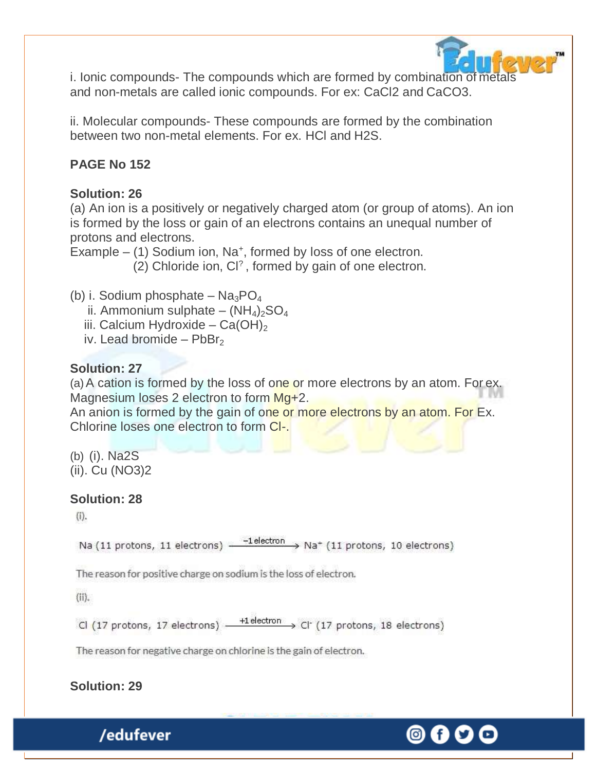

i. Ionic compounds- The compounds which are formed by combination of metals and non-metals are called ionic compounds. For ex: CaCl2 and CaCO3.

ii. Molecular compounds- These compounds are formed by the combination between two non-metal elements. For ex. HCl and H2S.

# **PAGE No 152**

# **Solution: 26**

(a) An ion is a positively or negatively charged atom (or group of atoms). An ion is formed by the loss or gain of an electrons contains an unequal number of protons and electrons.

Example  $-$  (1) Sodium ion, Na<sup>+</sup>, formed by loss of one electron.

(2) Chloride ion, Cl? , formed by gain of one electron.

- (b) i. Sodium phosphate  $Na_3PO_4$ 
	- ii. Ammonium sulphate  $(NH_4)_2SO_4$
	- iii. Calcium Hydroxide Ca(OH)<sub>2</sub>
	- iv. Lead bromide  $PbBr<sub>2</sub>$

# **Solution: 27**

(a) A cation is formed by the loss of one or more electrons by an atom. For ex. Magnesium loses 2 electron to form Mg+2.

An anion is formed by the gain of one or more electrons by an atom. For Ex. Chlorine loses one electron to form Cl-.

(b) (i). Na2S (ii). Cu (NO3)2

# **Solution: 28**

 $(i)$ .

Na (11 protons, 11 electrons)  $\xrightarrow{-1}$  electron  $\xrightarrow{ }$  Na<sup>+</sup> (11 protons, 10 electrons)

The reason for positive charge on sodium is the loss of electron.

(ii).

 $\frac{+1 \text{ electron}}{+1 \text{ electron}}$  Cl (17 protons, 18 electrons) Cl (17 protons, 17 electrons) -

The reason for negative charge on chlorine is the gain of electron.

**Solution: 29**

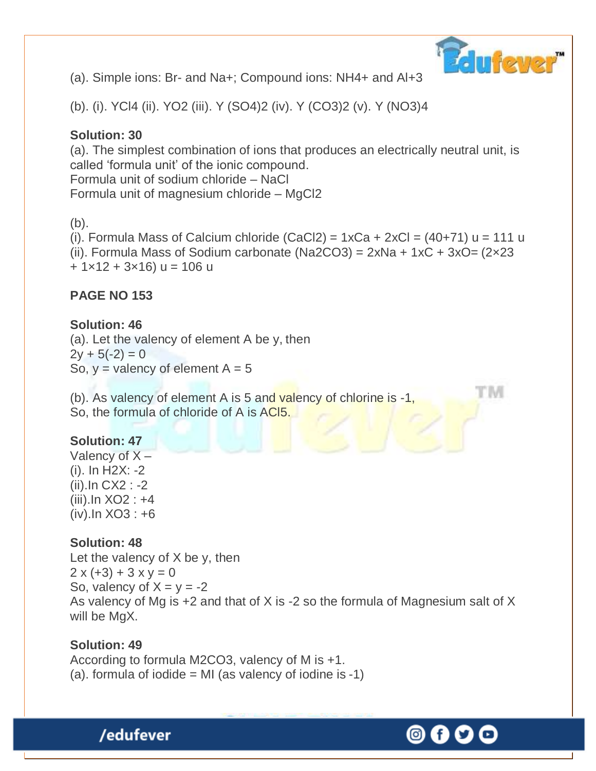

tivi

(a). Simple ions: Br- and Na+; Compound ions: NH4+ and Al+3

(b). (i). YCl4 (ii). YO2 (iii). Y (SO4)2 (iv). Y (CO3)2 (v). Y (NO3)4

## **Solution: 30**

(a). The simplest combination of ions that produces an electrically neutral unit, is called "formula unit" of the ionic compound. Formula unit of sodium chloride – NaCl Formula unit of magnesium chloride – MgCl2

 $(b)$ .

(i). Formula Mass of Calcium chloride  $(CaCl2) = 1xCa + 2xCl = (40+71) u = 111 u$ (ii). Formula Mass of Sodium carbonate (Na2CO3) =  $2xNa + 1xC + 3xO = (2 \times 23)$  $+ 1 \times 12 + 3 \times 16$ ) u = 106 u

# **PAGE NO 153**

**Solution: 46** (a). Let the valency of element A be y, then  $2y + 5(-2) = 0$ So,  $y =$  valency of element  $A = 5$ 

(b). As valency of element A is 5 and valency of chlorine is -1, So, the formula of chloride of A is ACl5.

# **Solution: 47**

Valency of  $X -$ (i). In H2X: -2 (ii).In CX2 : -2 (iii).In XO2 : +4 (iv).In XO3 : +6

**Solution: 48** Let the valency of X be y, then  $2 x (+3) + 3 x y = 0$ So, valency of  $X = y = -2$ As valency of Mg is +2 and that of X is -2 so the formula of Magnesium salt of X will be MgX.

#### **Solution: 49**

/edufever

According to formula M2CO3, valency of M is +1. (a). formula of iodide  $=$  MI (as valency of iodine is -1)

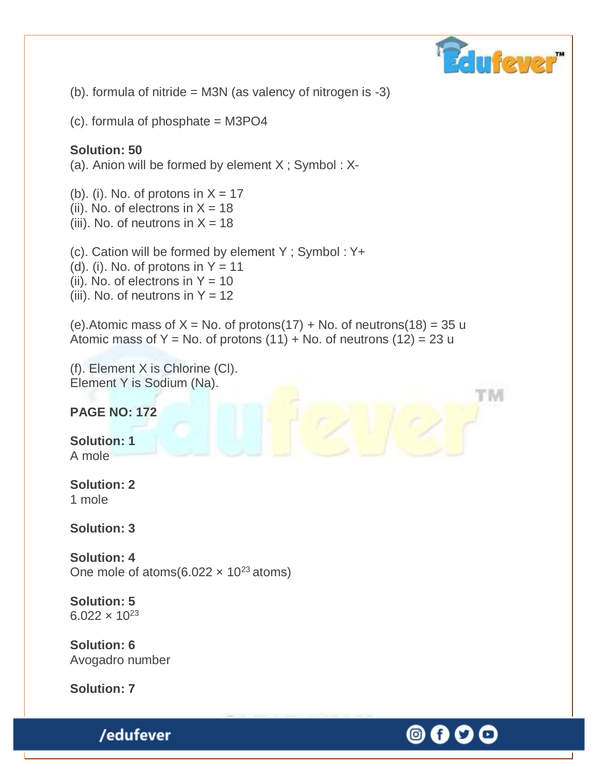

(O) (f

(b). formula of nitride = M3N (as valency of nitrogen is -3)

(c). formula of phosphate = M3PO4

#### **Solution: 50**

(a). Anion will be formed by element X ; Symbol : X-

(b). (i). No. of protons in  $X = 17$ 

- (ii). No. of electrons in  $X = 18$
- (iii). No. of neutrons in  $X = 18$

(c). Cation will be formed by element Y ; Symbol : Y+

(d). (i). No. of protons in  $Y = 11$ 

(ii). No. of electrons in  $Y = 10$ 

(iii). No. of neutrons in  $Y = 12$ 

(e). Atomic mass of  $X = No$ . of protons(17) + No. of neutrons(18) = 35 u Atomic mass of Y = No. of protons  $(11) +$  No. of neutrons  $(12) = 23$  u

(f). Element X is Chlorine (Cl). Element Y is Sodium (Na).

**PAGE NO: 172**

**Solution: 1** A mole

**Solution: 2** 1 mole

**Solution: 3**

**Solution: 4** One mole of atoms(6.022  $\times$  10<sup>23</sup> atoms)

**Solution: 5**  $6.022 \times 10^{23}$ 

**Solution: 6** Avogadro number

**Solution: 7**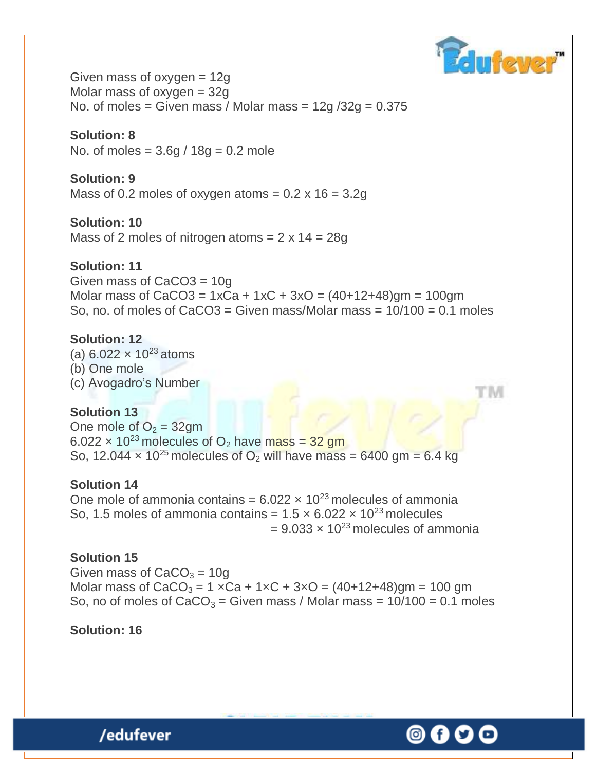

Given mass of oxygen = 12g Molar mass of oxygen  $= 32g$ No. of moles = Given mass / Molar mass =  $12g/32g = 0.375$ 

#### **Solution: 8**

No. of moles =  $3.6q / 18q = 0.2$  mole

#### **Solution: 9**

Mass of 0.2 moles of oxygen atoms  $= 0.2 \times 16 = 3.2g$ 

#### **Solution: 10**

Mass of 2 moles of nitrogen atoms  $= 2 \times 14 = 28g$ 

#### **Solution: 11**

Given mass of CaCO3 = 10g Molar mass of CaCO3 =  $1xCa + 1xC + 3xO = (40+12+48)gm = 100gm$ So, no. of moles of  $CaCO3 = Given mass/Molar mass =  $10/100 = 0.1$  moles$ 

#### **Solution: 12**

(a)  $6.022 \times 10^{23}$  atoms (b) One mole (c) Avogadro"s Number

#### **Solution 13**

One mole of  $O_2 = 32gm$ 6.022  $\times$  10<sup>23</sup> molecules of O<sub>2</sub> have mass = 32 gm So, 12.044  $\times$  10<sup>25</sup> molecules of O<sub>2</sub> will have mass = 6400 gm = 6.4 kg

#### **Solution 14**

One mole of ammonia contains =  $6.022 \times 10^{23}$  molecules of ammonia So, 1.5 moles of ammonia contains =  $1.5 \times 6.022 \times 10^{23}$  molecules  $= 9.033 \times 10^{23}$  molecules of ammonia

#### **Solution 15**

Given mass of  $CaCO<sub>3</sub> = 10g$ Molar mass of  $CaCO_3 = 1 \times Ca + 1 \times C + 3 \times O = (40 + 12 + 48)$ gm = 100 gm So, no of moles of  $CaCO<sub>3</sub> =$  Given mass / Molar mass =  $10/100 = 0.1$  moles

#### **Solution: 16**

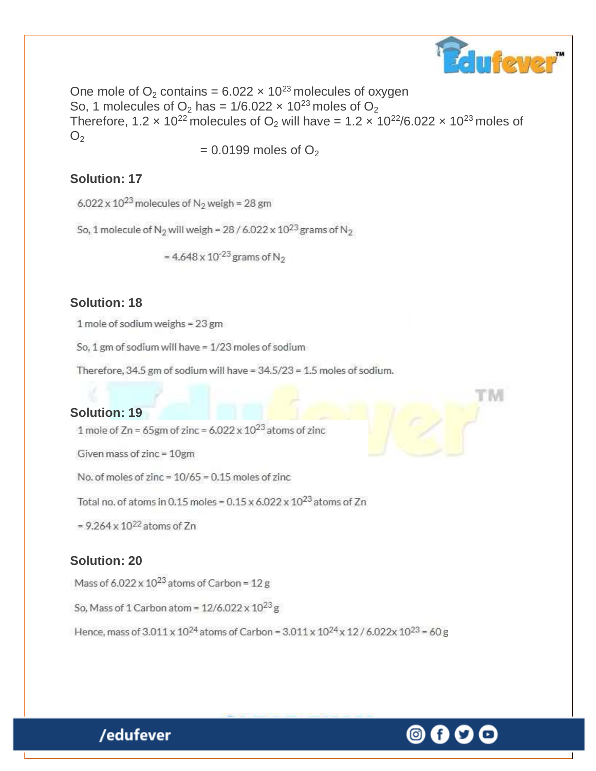

One mole of  $O_2$  contains = 6.022  $\times$  10<sup>23</sup> molecules of oxygen So, 1 molecules of  $O_2$  has = 1/6.022  $\times$  10<sup>23</sup> moles of  $O_2$ Therefore, 1.2  $\times$  10<sup>22</sup> molecules of O<sub>2</sub> will have = 1.2  $\times$  10<sup>22</sup>/6.022  $\times$  10<sup>23</sup> moles of  $O<sub>2</sub>$ 

 $= 0.0199$  moles of  $O<sub>2</sub>$ 

#### **Solution: 17**

6.022 x  $10^{23}$  molecules of N<sub>2</sub> weigh = 28 gm

So, 1 molecule of  $N_2$  will weigh = 28 / 6.022 x 10<sup>23</sup> grams of  $N_2$ 

= 4.648 x  $10^{-23}$  grams of N<sub>2</sub>

#### **Solution: 18**

1 mole of sodium weighs = 23 gm

So, 1 gm of sodium will have = 1/23 moles of sodium

Therefore, 34.5 gm of sodium will have = 34.5/23 = 1.5 moles of sodium.

#### **Solution: 19**

1 mole of Zn = 65gm of zinc =  $6.022 \times 10^{23}$  atoms of zinc

Given mass of zinc = 10gm

No. of moles of zinc =  $10/65$  = 0.15 moles of zinc

Total no. of atoms in 0.15 moles =  $0.15 \times 6.022 \times 10^{23}$  atoms of Zn

 $= 9.264 \times 10^{22}$  atoms of Zn

#### **Solution: 20**

Mass of  $6.022 \times 10^{23}$  atoms of Carbon = 12 g

So, Mass of 1 Carbon atom =  $12/6.022 \times 10^{23}$  g

Hence, mass of  $3.011 \times 10^{24}$  atoms of Carbon =  $3.011 \times 10^{24} \times 12 / 6.022 \times 10^{23}$  = 60 g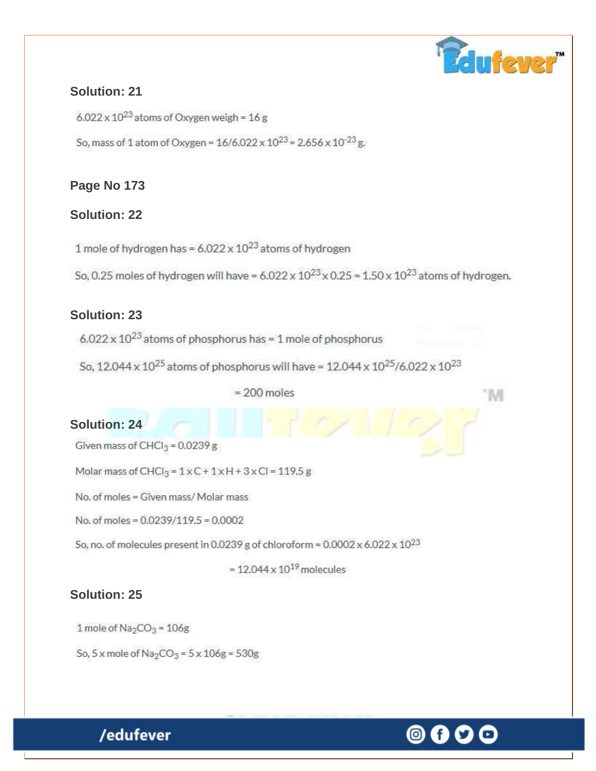# dufeyer"

M

#### **Solution: 21**

 $6.022 \times 10^{23}$  atoms of Oxygen weigh = 16 g

So, mass of 1 atom of Oxygen =  $16/6.022 \times 10^{23}$  = 2.656 x 10<sup>-23</sup> g.

# **Page No 173**

# **Solution: 22**

1 mole of hydrogen has =  $6.022 \times 10^{23}$  atoms of hydrogen

So, 0.25 moles of hydrogen will have =  $6.022 \times 10^{23} \times 0.25 = 1.50 \times 10^{23}$  atoms of hydrogen.

# **Solution: 23**

 $6.022 \times 10^{23}$  atoms of phosphorus has = 1 mole of phosphorus

So, 12.044 x 10<sup>25</sup> atoms of phosphorus will have = 12.044 x 10<sup>25</sup>/6.022 x 10<sup>23</sup>

#### $= 200$  moles

# **Solution: 24**

Given mass of  $CHCl_3 = 0.0239 g$ 

Molar mass of CHCl<sub>3</sub> =  $1 \times C + 1 \times H + 3 \times C = 119.5 g$ 

No, of moles = Given mass/ Molar mass

No. of moles = 0.0239/119.5 = 0.0002

So, no. of molecules present in 0.0239 g of chloroform =  $0.0002 \times 6.022 \times 10^{23}$ 

 $= 12.044 \times 10^{19}$  molecules

# **Solution: 25**

1 mole of  $Na<sub>2</sub>CO<sub>3</sub> = 106g$ 

/edufever

So, 5 x mole of  $Na_2CO_3 = 5 \times 106g = 530g$ 

# 0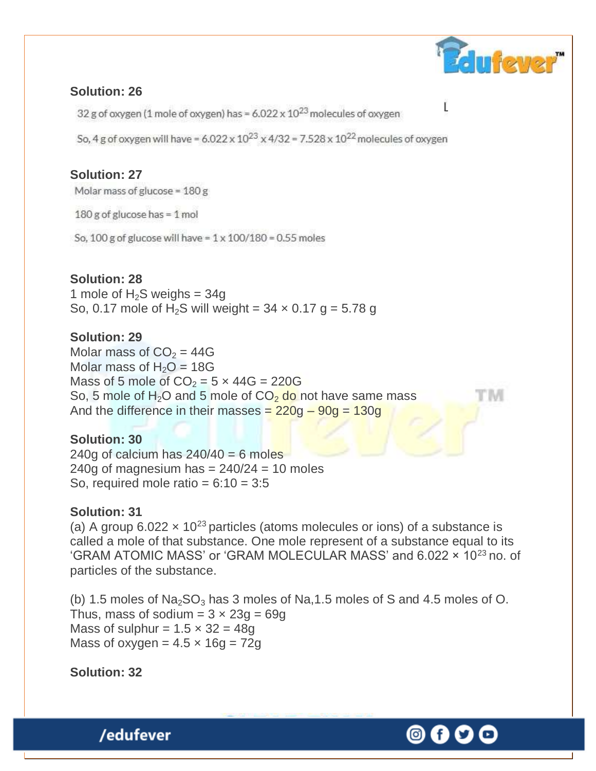

#### **Solution: 26**

32 g of oxygen (1 mole of oxygen) has =  $6.022 \times 10^{23}$  molecules of oxygen

So, 4 g of oxygen will have =  $6.022 \times 10^{23} \times 4/32 = 7.528 \times 10^{22}$  molecules of oxygen

# **Solution: 27**

Molar mass of glucose = 180 g

180 g of glucose has = 1 mol

So, 100 g of glucose will have =  $1 \times 100/180 = 0.55$  moles

#### **Solution: 28**

1 mole of  $H_2S$  weighs = 34g So, 0.17 mole of H<sub>2</sub>S will weight =  $34 \times 0.17$  g = 5.78 g

#### **Solution: 29**

Molar mass of  $CO<sub>2</sub> = 44G$ Molar mass of  $H_2O = 18G$ Mass of 5 mole of  $CO<sub>2</sub> = 5 \times 44G = 220G$ So, 5 mole of H<sub>2</sub>O and 5 mole of  $CO<sub>2</sub>$  do not have same mass And the difference in their masses  $= 220g - 90g = 130g$ 

#### **Solution: 30**

240g of calcium has  $240/40 = 6$  moles 240g of magnesium has  $= 240/24 = 10$  moles So, required mole ratio =  $6:10 = 3:5$ 

#### **Solution: 31**

(a) A group 6.022  $\times$  10<sup>23</sup> particles (atoms molecules or ions) of a substance is called a mole of that substance. One mole represent of a substance equal to its 'GRAM ATOMIC MASS' or 'GRAM MOLECULAR MASS' and 6.022 x 10<sup>23</sup> no. of particles of the substance.

(b) 1.5 moles of  $Na<sub>2</sub>SO<sub>3</sub>$  has 3 moles of Na, 1.5 moles of S and 4.5 moles of O. Thus, mass of sodium =  $3 \times 23g = 69g$ Mass of sulphur =  $1.5 \times 32 = 48q$ Mass of oxygen =  $4.5 \times 16q = 72q$ 

**Solution: 32**

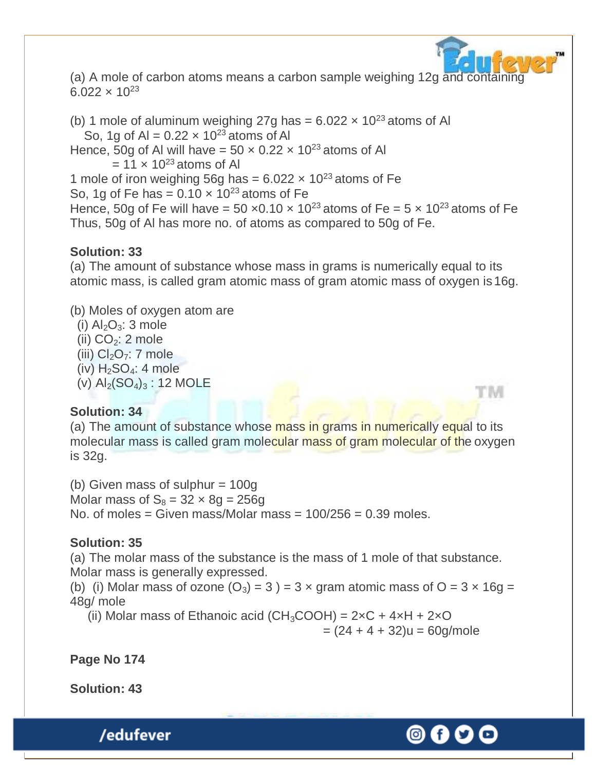

tim

(a) A mole of carbon atoms means a carbon sample weighing 12g and containing  $6.022 \times 10^{23}$ 

(b) 1 mole of aluminum weighing 27g has =  $6.022 \times 10^{23}$  atoms of Al So, 1g of Al =  $0.22 \times 10^{23}$  atoms of Al Hence, 50g of Al will have =  $50 \times 0.22 \times 10^{23}$  atoms of Al  $= 11 \times 10^{23}$  atoms of Al 1 mole of iron weighing 56g has =  $6.022 \times 10^{23}$  atoms of Fe So, 1g of Fe has =  $0.10 \times 10^{23}$  atoms of Fe Hence, 50g of Fe will have = 50  $\times$ 0.10  $\times$  10<sup>23</sup> atoms of Fe = 5  $\times$  10<sup>23</sup> atoms of Fe Thus, 50g of Al has more no. of atoms as compared to 50g of Fe.

#### **Solution: 33**

(a) The amount of substance whose mass in grams is numerically equal to its atomic mass, is called gram atomic mass of gram atomic mass of oxygen is16g.

#### (b) Moles of oxygen atom are

(i)  $Al_2O_3$ : 3 mole

(ii)  $CO<sub>2</sub>: 2 mole$ 

(iii)  $Cl<sub>2</sub>O<sub>7</sub>: 7 mole$ 

(iv)  $H_2SO_4$ : 4 mole

(v)  $Al_2(SO_4)_3$ : 12 MOLE

#### **Solution: 34**

(a) The amount of substance whose mass in grams in numerically equal to its molecular mass is called gram molecular mass of gram molecular of the oxygen is 32g.

(b) Given mass of sulphur  $= 100g$ Molar mass of  $S_8 = 32 \times 8g = 256g$ No. of moles = Given mass/Molar mass =  $100/256 = 0.39$  moles.

#### **Solution: 35**

(a) The molar mass of the substance is the mass of 1 mole of that substance. Molar mass is generally expressed.

(b) (i) Molar mass of ozone  $(O_3) = 3$  ) = 3 x gram atomic mass of O = 3 x 16g = 48g/ mole

(ii) Molar mass of Ethanoic acid (CH<sub>3</sub>COOH) =  $2 \times C + 4 \times H + 2 \times O$  $=(24 + 4 + 32)u = 60$ g/mole

**Page No 174**

**Solution: 43**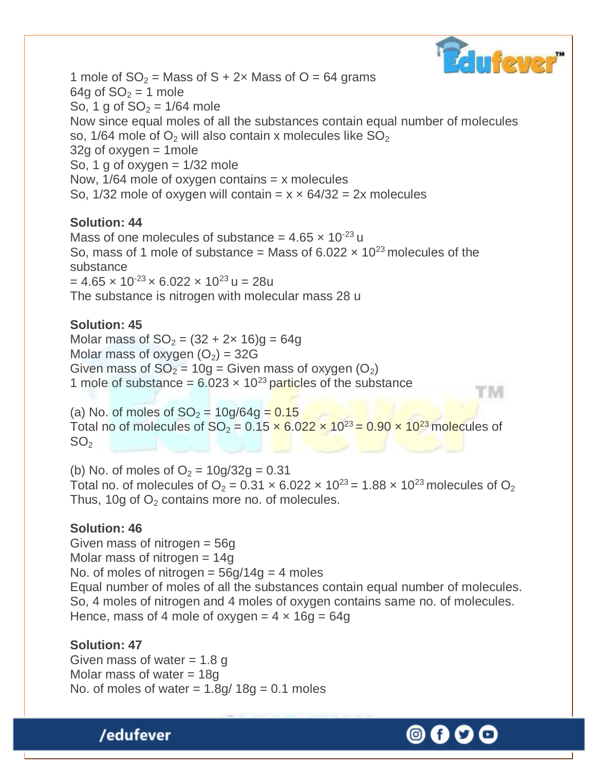

TM

1 mole of  $SO_2$  = Mass of S + 2x Mass of O = 64 grams 64g of  $SO<sub>2</sub> = 1$  mole So, 1 g of  $SO_2 = 1/64$  mole Now since equal moles of all the substances contain equal number of molecules so, 1/64 mole of  $O_2$  will also contain x molecules like  $SO_2$  $32g$  of oxygen = 1 mole So, 1 g of oxygen  $= 1/32$  mole Now,  $1/64$  mole of oxygen contains = x molecules So,  $1/32$  mole of oxygen will contain =  $x \times 64/32 = 2x$  molecules

#### **Solution: 44**

Mass of one molecules of substance =  $4.65 \times 10^{-23}$  u So, mass of 1 mole of substance = Mass of  $6.022 \times 10^{23}$  molecules of the substance  $= 4.65 \times 10^{-23} \times 6.022 \times 10^{23}$  u = 28u The substance is nitrogen with molecular mass 28 u

#### **Solution: 45**

Molar mass of  $SO_2 = (32 + 2x 16)g = 64g$ Molar mass of oxygen  $(O_2) = 32G$ Given mass of  $SO_2 = 10g = Given$  mass of oxygen  $(O_2)$ 1 mole of substance =  $6.023 \times 10^{23}$  particles of the substance

(a) No. of moles of  $SO_2 = 10g/64g = 0.15$ Total no of molecules of  $SO_2 = 0.15 \times 6.022 \times 10^{23} = 0.90 \times 10^{23}$  molecules of  $SO<sub>2</sub>$ 

(b) No. of moles of  $O_2 = 10g/32g = 0.31$ Total no. of molecules of  $O_2 = 0.31 \times 6.022 \times 10^{23} = 1.88 \times 10^{23}$  molecules of  $O_2$ Thus, 10g of  $O<sub>2</sub>$  contains more no. of molecules.

#### **Solution: 46**

Given mass of nitrogen = 56g Molar mass of nitrogen = 14g No. of moles of nitrogen =  $56g/14g = 4$  moles Equal number of moles of all the substances contain equal number of molecules. So, 4 moles of nitrogen and 4 moles of oxygen contains same no. of molecules. Hence, mass of 4 mole of oxygen =  $4 \times 16q = 64q$ 

#### **Solution: 47**

/edufever

Given mass of water  $= 1.8$  g Molar mass of water  $= 18g$ No. of moles of water  $= 1.8$ g/ 18g = 0.1 moles